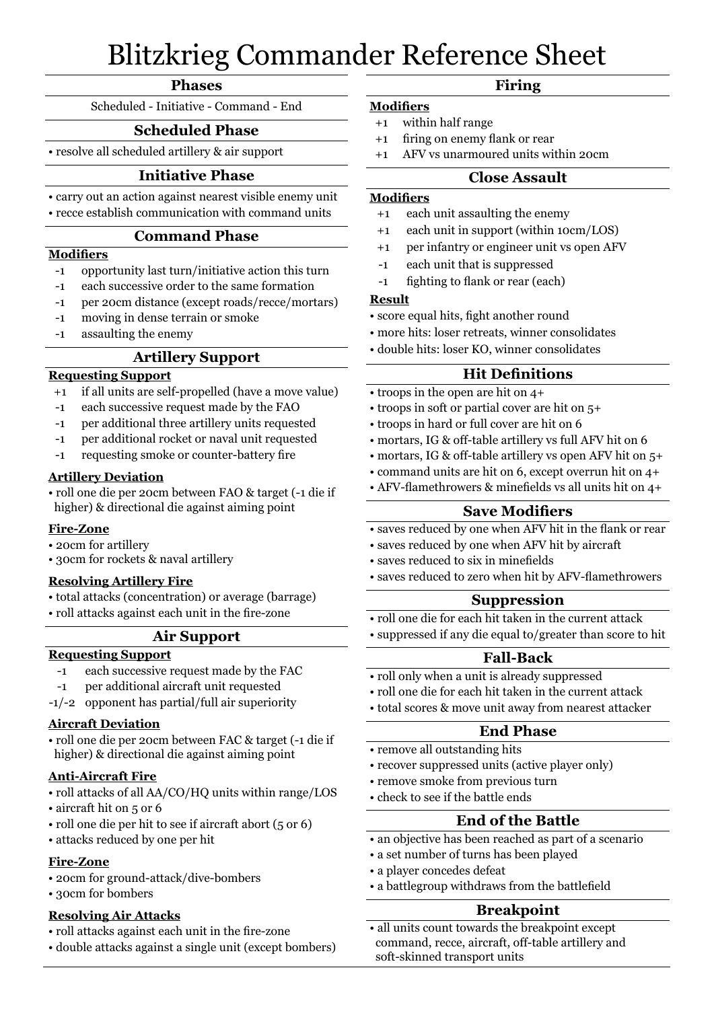# Blitzkrieg Commander Reference Sheet

#### **Phases**

Scheduled - Initiative - Command - End

# **Scheduled Phase**

• resolve all scheduled artillery & air support

# **Initiative Phase**

- carry out an action against nearest visible enemy unit
- recce establish communication with command units

#### **Command Phase**

#### **Modifiers**

- -1 opportunity last turn/initiative action this turn
- -1 each successive order to the same formation
- -1 per 20cm distance (except roads/recce/mortars)
- -1 moving in dense terrain or smoke
- -1 assaulting the enemy

# **Artillery Support**

# **Requesting Support**

- +1 if all units are self-propelled (have a move value)
- -1 each successive request made by the FAO
- -1 per additional three artillery units requested
- -1 per additional rocket or naval unit requested
- -1 requesting smoke or counter-battery fire

#### **Artillery Deviation**

• roll one die per 20cm between FAO & target (-1 die if higher) & directional die against aiming point

#### **Fire-Zone**

- 20cm for artillery
- 30cm for rockets & naval artillery

#### **Resolving Artillery Fire**

- total attacks (concentration) or average (barrage)
- roll attacks against each unit in the fire-zone

# **Air Support**

#### **Requesting Support**

- -1 each successive request made by the FAC
- -1 per additional aircraft unit requested
- -1/-2 opponent has partial/full air superiority

#### **Aircraft Deviation**

• roll one die per 20cm between FAC & target (-1 die if higher) & directional die against aiming point

#### **Anti-Aircraft Fire**

- roll attacks of all AA/CO/HQ units within range/LOS
- aircraft hit on 5 or 6
- roll one die per hit to see if aircraft abort (5 or 6)
- attacks reduced by one per hit

#### **Fire-Zone**

- 20cm for ground-attack/dive-bombers
- 30cm for bombers

#### **Resolving Air Attacks**

- roll attacks against each unit in the fire-zone
- double attacks against a single unit (except bombers)

# **Firing**

- **Modifiers** +1 within half range
- +1 firing on enemy flank or rear
- +1 AFV vs unarmoured units within 20cm

#### **Close Assault**

#### **Modifiers**

- +1 each unit assaulting the enemy
- +1 each unit in support (within 10cm/LOS)
- +1 per infantry or engineer unit vs open AFV
- -1 each unit that is suppressed
- -1 fighting to flank or rear (each)

#### **Result**

- score equal hits, fight another round
- more hits: loser retreats, winner consolidates
- double hits: loser KO, winner consolidates

# **Hit Definitions**

- troops in the open are hit on 4+
- troops in soft or partial cover are hit on 5+
- troops in hard or full cover are hit on 6
- mortars, IG & off-table artillery vs full AFV hit on 6
- mortars, IG & off-table artillery vs open AFV hit on 5+
- command units are hit on 6, except overrun hit on 4+
- AFV-flamethrowers & minefields vs all units hit on 4+

### **Save Modifiers**

- saves reduced by one when AFV hit in the flank or rear
- saves reduced by one when AFV hit by aircraft
- saves reduced to six in minefields
- saves reduced to zero when hit by AFV-flamethrowers

#### **Suppression**

- roll one die for each hit taken in the current attack
- suppressed if any die equal to/greater than score to hit

# **Fall-Back**

- roll only when a unit is already suppressed
- roll one die for each hit taken in the current attack
- total scores & move unit away from nearest attacker

#### **End Phase**

- remove all outstanding hits
- recover suppressed units (active player only)
- remove smoke from previous turn
- check to see if the battle ends

# **End of the Battle**

- an objective has been reached as part of a scenario
- a set number of turns has been played
- a player concedes defeat
- a battlegroup withdraws from the battlefield

# **Breakpoint**

• all units count towards the breakpoint except command, recce, aircraft, off-table artillery and soft-skinned transport units